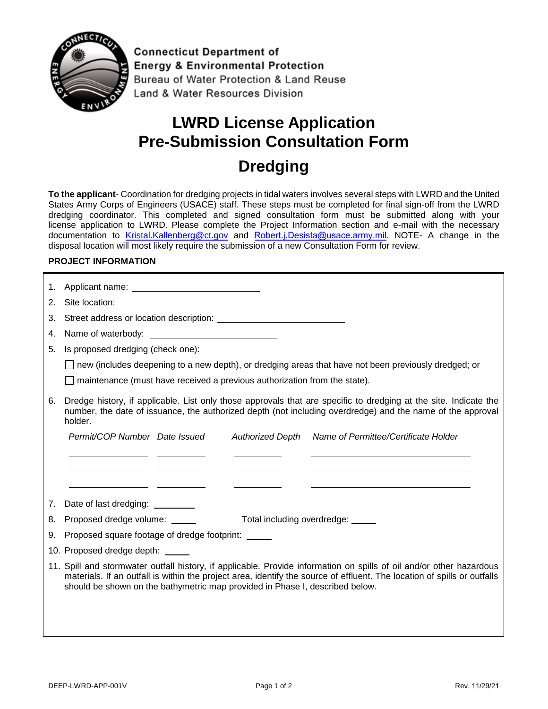

**Connecticut Department of Energy & Environmental Protection** Bureau of Water Protection & Land Reuse Land & Water Resources Division

# **LWRD License Application Pre-Submission Consultation Form**

# **Dredging**

**To the applicant**- Coordination for dredging projects in tidal waters involves several steps with LWRD and the United States Army Corps of Engineers (USACE) staff. These steps must be completed for final sign-off from the LWRD dredging coordinator. This completed and signed consultation form must be submitted along with your license application to LWRD. Please complete the Project Information section and e-mail with the necessary d[ocumentation to Kristal.Ka](mailto:Kristal.Kallenberg@ct.gov)lle[nberg@ct.gov](mailto:Diane.M.Ray@usace.army.mil) and Robert.j.Desista@usace.army.mil. NOTE- A change in the disposal location will most likely require the submission of a new Consultation Form for review.

#### **PROJECT INFORMATION**

| 1. |                                                                                                                                                                                                                                                                                                                                  |  |  |
|----|----------------------------------------------------------------------------------------------------------------------------------------------------------------------------------------------------------------------------------------------------------------------------------------------------------------------------------|--|--|
| 2. |                                                                                                                                                                                                                                                                                                                                  |  |  |
| 3. | Street address or location description:                                                                                                                                                                                                                                                                                          |  |  |
| 4. |                                                                                                                                                                                                                                                                                                                                  |  |  |
| 5. | Is proposed dredging (check one):                                                                                                                                                                                                                                                                                                |  |  |
|    | $\Box$ new (includes deepening to a new depth), or dredging areas that have not been previously dredged; or                                                                                                                                                                                                                      |  |  |
|    | maintenance (must have received a previous authorization from the state).                                                                                                                                                                                                                                                        |  |  |
| 6. | Dredge history, if applicable. List only those approvals that are specific to dredging at the site. Indicate the<br>number, the date of issuance, the authorized depth (not including overdredge) and the name of the approval<br>holder.                                                                                        |  |  |
|    | Permit/COP Number Date Issued<br>Name of Permittee/Certificate Holder<br><b>Authorized Depth</b>                                                                                                                                                                                                                                 |  |  |
|    | <u> 1980 - Johann Barnett, fransk politik (d. 1980)</u>                                                                                                                                                                                                                                                                          |  |  |
|    | <u> 1989 - Jan Stein Harry Harry Harry Harry Harry Harry Harry Harry Harry Harry Harry Harry Harry Harry Harry H</u>                                                                                                                                                                                                             |  |  |
|    | <u> 1989 - Johann John Stone, francouzski politik († 1918)</u>                                                                                                                                                                                                                                                                   |  |  |
| 7. |                                                                                                                                                                                                                                                                                                                                  |  |  |
| 8. | Proposed dredge volume: _____<br>Total including overdredge: _____                                                                                                                                                                                                                                                               |  |  |
| 9. | Proposed square footage of dredge footprint:                                                                                                                                                                                                                                                                                     |  |  |
|    | 10. Proposed dredge depth: _____                                                                                                                                                                                                                                                                                                 |  |  |
|    | 11. Spill and stormwater outfall history, if applicable. Provide information on spills of oil and/or other hazardous<br>materials. If an outfall is within the project area, identify the source of effluent. The location of spills or outfalls<br>should be shown on the bathymetric map provided in Phase I, described below. |  |  |
|    |                                                                                                                                                                                                                                                                                                                                  |  |  |